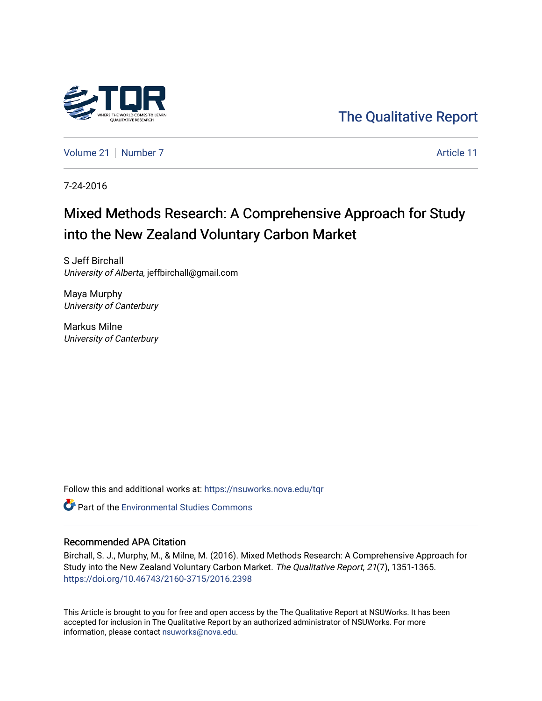

[The Qualitative Report](https://nsuworks.nova.edu/tqr) 

[Volume 21](https://nsuworks.nova.edu/tqr/vol21) | [Number 7](https://nsuworks.nova.edu/tqr/vol21/iss7) Article 11

7-24-2016

# Mixed Methods Research: A Comprehensive Approach for Study into the New Zealand Voluntary Carbon Market

S Jeff Birchall University of Alberta, jeffbirchall@gmail.com

Maya Murphy University of Canterbury

Markus Milne University of Canterbury

Follow this and additional works at: [https://nsuworks.nova.edu/tqr](https://nsuworks.nova.edu/tqr?utm_source=nsuworks.nova.edu%2Ftqr%2Fvol21%2Fiss7%2F11&utm_medium=PDF&utm_campaign=PDFCoverPages) 

Part of the [Environmental Studies Commons](http://network.bepress.com/hgg/discipline/1333?utm_source=nsuworks.nova.edu%2Ftqr%2Fvol21%2Fiss7%2F11&utm_medium=PDF&utm_campaign=PDFCoverPages)

# Recommended APA Citation

Birchall, S. J., Murphy, M., & Milne, M. (2016). Mixed Methods Research: A Comprehensive Approach for Study into the New Zealand Voluntary Carbon Market. The Qualitative Report, 21(7), 1351-1365. <https://doi.org/10.46743/2160-3715/2016.2398>

This Article is brought to you for free and open access by the The Qualitative Report at NSUWorks. It has been accepted for inclusion in The Qualitative Report by an authorized administrator of NSUWorks. For more information, please contact [nsuworks@nova.edu.](mailto:nsuworks@nova.edu)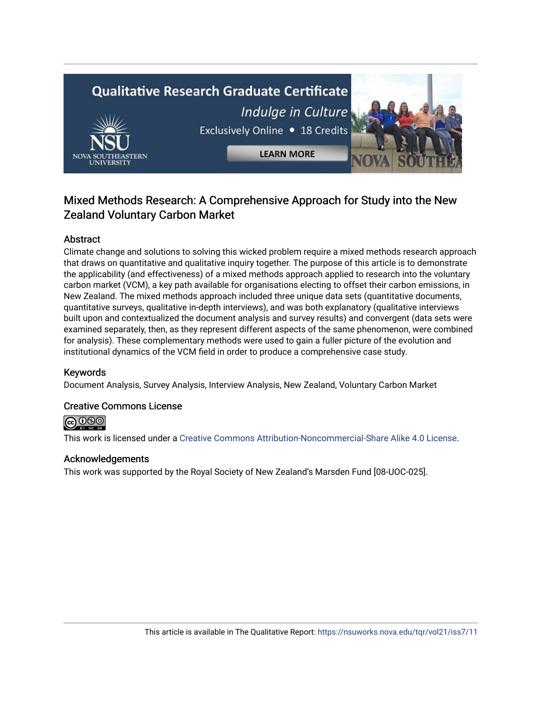# **Qualitative Research Graduate Certificate** Indulge in Culture Exclusively Online . 18 Credits **LEARN MORE**

# Mixed Methods Research: A Comprehensive Approach for Study into the New Zealand Voluntary Carbon Market

# Abstract

Climate change and solutions to solving this wicked problem require a mixed methods research approach that draws on quantitative and qualitative inquiry together. The purpose of this article is to demonstrate the applicability (and effectiveness) of a mixed methods approach applied to research into the voluntary carbon market (VCM), a key path available for organisations electing to offset their carbon emissions, in New Zealand. The mixed methods approach included three unique data sets (quantitative documents, quantitative surveys, qualitative in-depth interviews), and was both explanatory (qualitative interviews built upon and contextualized the document analysis and survey results) and convergent (data sets were examined separately, then, as they represent different aspects of the same phenomenon, were combined for analysis). These complementary methods were used to gain a fuller picture of the evolution and institutional dynamics of the VCM field in order to produce a comprehensive case study.

# Keywords

Document Analysis, Survey Analysis, Interview Analysis, New Zealand, Voluntary Carbon Market

# Creative Commons License



This work is licensed under a [Creative Commons Attribution-Noncommercial-Share Alike 4.0 License](https://creativecommons.org/licenses/by-nc-sa/4.0/).

# Acknowledgements

This work was supported by the Royal Society of New Zealand's Marsden Fund [08-UOC-025].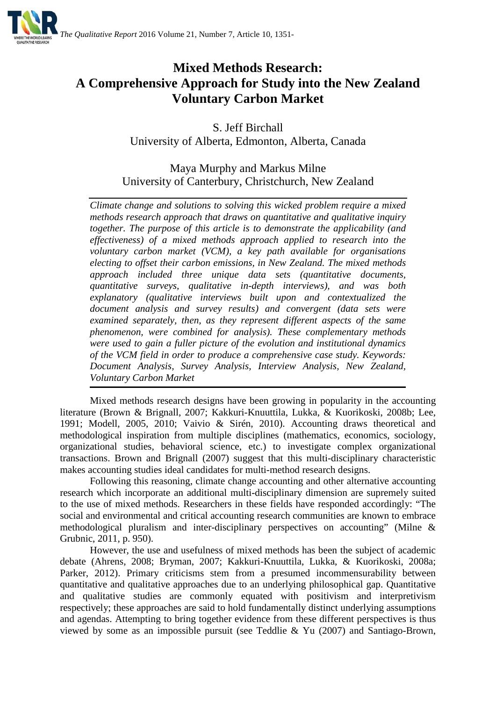

# **Mixed Methods Research: A Comprehensive Approach for Study into the New Zealand Voluntary Carbon Market**

S. Jeff Birchall University of Alberta, Edmonton, Alberta, Canada

Maya Murphy and Markus Milne University of Canterbury, Christchurch, New Zealand

*Climate change and solutions to solving this wicked problem require a mixed methods research approach that draws on quantitative and qualitative inquiry together. The purpose of this article is to demonstrate the applicability (and effectiveness) of a mixed methods approach applied to research into the voluntary carbon market (VCM), a key path available for organisations electing to offset their carbon emissions, in New Zealand. The mixed methods approach included three unique data sets (quantitative documents, quantitative surveys, qualitative in-depth interviews), and was both explanatory (qualitative interviews built upon and contextualized the document analysis and survey results) and convergent (data sets were examined separately, then, as they represent different aspects of the same phenomenon, were combined for analysis). These complementary methods were used to gain a fuller picture of the evolution and institutional dynamics of the VCM field in order to produce a comprehensive case study. Keywords: Document Analysis, Survey Analysis, Interview Analysis, New Zealand, Voluntary Carbon Market*

Mixed methods research designs have been growing in popularity in the accounting literature [\(Brown & Brignall, 2007;](#page-14-0) [Kakkuri-Knuuttila, Lukka, & Kuorikoski, 2008b;](#page-15-0) [Lee,](#page-15-1)  [1991;](#page-15-1) Modell, 2005, [2010;](#page-15-2) Vaivio & Sirén, 2010). Accounting draws theoretical and methodological inspiration from multiple disciplines (mathematics, economics, sociology, organizational studies, behavioral science, etc.) to investigate complex organizational transactions. [Brown and Brignall \(2007\)](#page-14-0) suggest that this multi-disciplinary characteristic makes accounting studies ideal candidates for multi-method research designs.

Following this reasoning, climate change accounting and other alternative accounting research which incorporate an additional multi-disciplinary dimension are supremely suited to the use of mixed methods. Researchers in these fields have responded accordingly: "The social and environmental and critical accounting research communities are known to embrace methodological pluralism and inter-disciplinary perspectives on accounting" [\(Milne &](#page-15-3)  [Grubnic, 2011, p. 950\)](#page-15-3).

However, the use and usefulness of mixed methods has been the subject of academic debate [\(Ahrens, 2008;](#page-14-1) Bryman, 2007; [Kakkuri-Knuuttila, Lukka, & Kuorikoski, 2008a;](#page-15-4) Parker, 2012). Primary criticisms stem from a presumed incommensurability between quantitative and qualitative approaches due to an underlying philosophical gap. Quantitative and qualitative studies are commonly equated with positivism and interpretivism respectively; these approaches are said to hold fundamentally distinct underlying assumptions and agendas. Attempting to bring together evidence from these different perspectives is thus viewed by some as an impossible pursuit (see Teddlie & Yu (2007) and Santiago-Brown,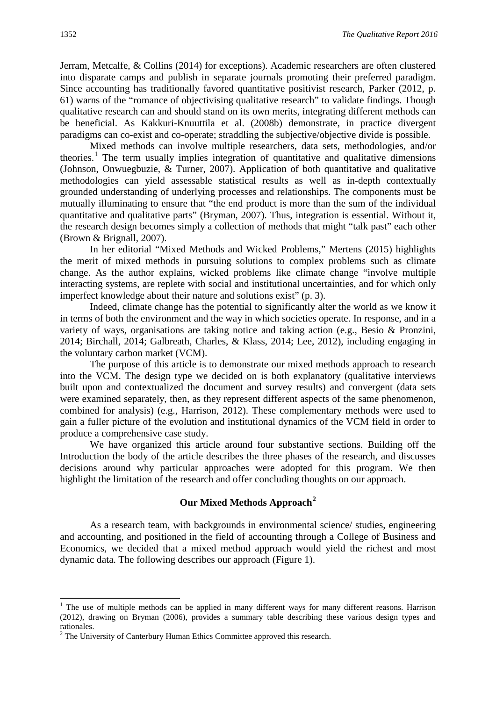Jerram, Metcalfe, & Collins (2014) for exceptions). Academic researchers are often clustered into disparate camps and publish in separate journals promoting their preferred paradigm. Since accounting has traditionally favored quantitative positivist research, Parker (2012, p. 61) warns of the "romance of objectivising qualitative research" to validate findings. Though qualitative research can and should stand on its own merits, integrating different methods can be beneficial. As [Kakkuri-Knuuttila et al. \(2008b\)](#page-15-0) demonstrate, in practice divergent paradigms can co-exist and co-operate; straddling the subjective/objective divide is possible.

Mixed methods can involve multiple researchers, data sets, methodologies, and/or theories.<sup>[1](#page-3-0)</sup> The term usually implies integration of quantitative and qualitative dimensions [\(Johnson, Onwuegbuzie, & Turner, 2007\)](#page-14-2). Application of both quantitative and qualitative methodologies can yield assessable statistical results as well as in-depth contextually grounded understanding of underlying processes and relationships. The components must be mutually illuminating to ensure that "the end product is more than the sum of the individual quantitative and qualitative parts" (Bryman, 2007). Thus, integration is essential. Without it, the research design becomes simply a collection of methods that might "talk past" each other [\(Brown & Brignall, 2007\)](#page-14-0).

In her editorial "Mixed Methods and Wicked Problems," Mertens (2015) highlights the merit of mixed methods in pursuing solutions to complex problems such as climate change. As the author explains, wicked problems like climate change "involve multiple interacting systems, are replete with social and institutional uncertainties, and for which only imperfect knowledge about their nature and solutions exist" (p. 3).

Indeed, climate change has the potential to significantly alter the world as we know it in terms of both the environment and the way in which societies operate. In response, and in a variety of ways, organisations are taking notice and taking action (e.g., Besio & Pronzini, 2014; Birchall, 2014; Galbreath, Charles, & Klass, 2014; Lee, 2012), including engaging in the voluntary carbon market (VCM).

The purpose of this article is to demonstrate our mixed methods approach to research into the VCM. The design type we decided on is both explanatory (qualitative interviews built upon and contextualized the document and survey results) and convergent (data sets were examined separately, then, as they represent different aspects of the same phenomenon, combined for analysis) (e.g., [Harrison, 2012\)](#page-14-3). These complementary methods were used to gain a fuller picture of the evolution and institutional dynamics of the VCM field in order to produce a comprehensive case study.

We have organized this article around four substantive sections. Building off the Introduction the body of the article describes the three phases of the research, and discusses decisions around why particular approaches were adopted for this program. We then highlight the limitation of the research and offer concluding thoughts on our approach.

# **Our Mixed Methods Approach[2](#page-3-1)**

As a research team, with backgrounds in environmental science/ studies, engineering and accounting, and positioned in the field of accounting through a College of Business and Economics, we decided that a mixed method approach would yield the richest and most dynamic data. The following describes our approach (Figure 1).

<span id="page-3-0"></span><sup>&</sup>lt;sup>1</sup> The use of multiple methods can be applied in many different ways for many different reasons. Harrison [\(2012\)](#page-14-3), drawing on Bryman (2006), provides a summary table describing these various design types and rationales.

<span id="page-3-1"></span><sup>&</sup>lt;sup>2</sup> The University of Canterbury Human Ethics Committee approved this research.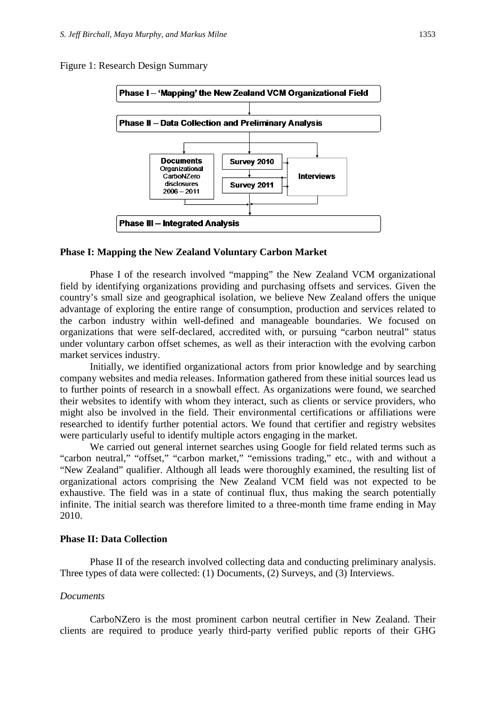Figure 1: Research Design Summary



#### **Phase I: Mapping the New Zealand Voluntary Carbon Market**

Phase I of the research involved "mapping" the New Zealand VCM organizational field by identifying organizations providing and purchasing offsets and services. Given the country's small size and geographical isolation, we believe New Zealand offers the unique advantage of exploring the entire range of consumption, production and services related to the carbon industry within well-defined and manageable boundaries. We focused on organizations that were self-declared, accredited with, or pursuing "carbon neutral" status under voluntary carbon offset schemes, as well as their interaction with the evolving carbon market services industry.

Initially, we identified organizational actors from prior knowledge and by searching company websites and media releases. Information gathered from these initial sources lead us to further points of research in a snowball effect. As organizations were found, we searched their websites to identify with whom they interact, such as clients or service providers, who might also be involved in the field. Their environmental certifications or affiliations were researched to identify further potential actors. We found that certifier and registry websites were particularly useful to identify multiple actors engaging in the market.

We carried out general internet searches using Google for field related terms such as "carbon neutral," "offset," "carbon market," "emissions trading," etc., with and without a "New Zealand" qualifier. Although all leads were thoroughly examined, the resulting list of organizational actors comprising the New Zealand VCM field was not expected to be exhaustive. The field was in a state of continual flux, thus making the search potentially infinite. The initial search was therefore limited to a three-month time frame ending in May 2010.

#### **Phase II: Data Collection**

Phase II of the research involved collecting data and conducting preliminary analysis. Three types of data were collected: (1) Documents, (2) Surveys, and (3) Interviews.

#### *Documents*

CarboNZero is the most prominent carbon neutral certifier in New Zealand. Their clients are required to produce yearly third-party verified public reports of their GHG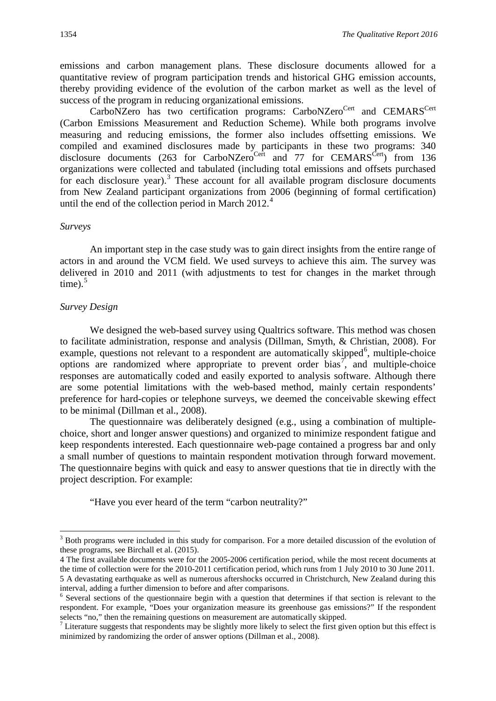emissions and carbon management plans. These disclosure documents allowed for a quantitative review of program participation trends and historical GHG emission accounts, thereby providing evidence of the evolution of the carbon market as well as the level of success of the program in reducing organizational emissions.

CarboNZero has two certification programs: CarboNZero<sup>Cert</sup> and CEMARS<sup>Cert</sup> (Carbon Emissions Measurement and Reduction Scheme). While both programs involve measuring and reducing emissions, the former also includes offsetting emissions. We compiled and examined disclosures made by participants in these two programs: 340 disclosure documents (263 for CarboNZero<sup>Cert</sup> and 77 for CEMARS<sup>Cert</sup>) from 136 organizations were collected and tabulated (including total emissions and offsets purchased for each disclosure year).<sup>[3](#page-5-0)</sup> These account for all available program disclosure documents from New Zealand participant organizations from 2006 (beginning of formal certification) until the end of the collection period in March  $2012<sup>4</sup>$  $2012<sup>4</sup>$  $2012<sup>4</sup>$ 

#### *Surveys*

An important step in the case study was to gain direct insights from the entire range of actors in and around the VCM field. We used surveys to achieve this aim. The survey was delivered in 2010 and 2011 (with adjustments to test for changes in the market through time). $5$ 

# *Survey Design*

We designed the web-based survey using Qualtrics software. This method was chosen to facilitate administration, response and analysis [\(Dillman, Smyth, & Christian, 2008\)](#page-14-4). For example, questions not relevant to a respondent are automatically skipped<sup>[6](#page-5-3)</sup>, multiple-choice options are randomized where appropriate to prevent order bias<sup>[7](#page-5-4)</sup>, and multiple-choice responses are automatically coded and easily exported to analysis software. Although there are some potential limitations with the web-based method, mainly certain respondents' preference for hard-copies or telephone surveys, we deemed the conceivable skewing effect to be minimal [\(Dillman et al., 2008\)](#page-14-4).

The questionnaire was deliberately designed (e.g., using a combination of multiplechoice, short and longer answer questions) and organized to minimize respondent fatigue and keep respondents interested. Each questionnaire web-page contained a progress bar and only a small number of questions to maintain respondent motivation through forward movement. The questionnaire begins with quick and easy to answer questions that tie in directly with the project description. For example:

"Have you ever heard of the term "carbon neutrality?"

<span id="page-5-0"></span><sup>&</sup>lt;sup>3</sup> Both programs were included in this study for comparison. For a more detailed discussion of the evolution of these programs, see Birchall et al. (2015).

<span id="page-5-1"></span><sup>4</sup> The first available documents were for the 2005-2006 certification period, while the most recent documents at the time of collection were for the 2010-2011 certification period, which runs from 1 July 2010 to 30 June 2011.

<span id="page-5-2"></span><sup>5</sup> A devastating earthquake as well as numerous aftershocks occurred in Christchurch, New Zealand during this interval, adding a further dimension to before and after comparisons.

<span id="page-5-3"></span><sup>&</sup>lt;sup>6</sup> Several sections of the questionnaire begin with a question that determines if that section is relevant to the respondent. For example, "Does your organization measure its greenhouse gas emissions?" If the respondent selects "no," then the remaining questions on measurement are automatically skipped.

<span id="page-5-4"></span><sup>&</sup>lt;sup>7</sup> Literature suggests that respondents may be slightly more likely to select the first given option but this effect is minimized by randomizing the order of answer options [\(Dillman et al., 2008\)](#page-14-4).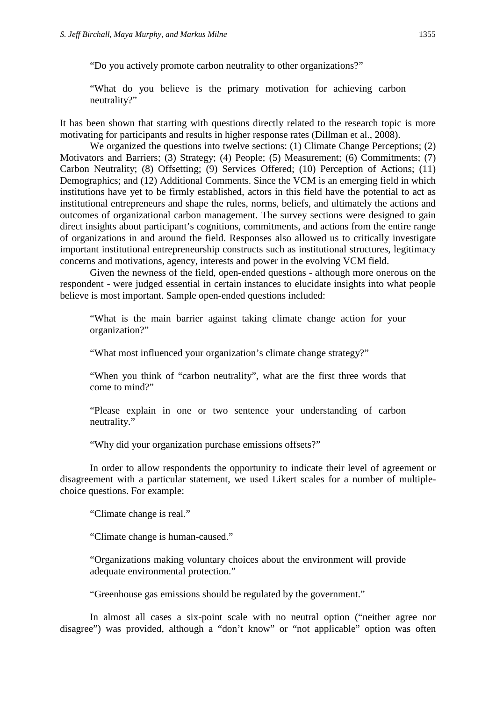"Do you actively promote carbon neutrality to other organizations?"

"What do you believe is the primary motivation for achieving carbon neutrality?"

It has been shown that starting with questions directly related to the research topic is more motivating for participants and results in higher response rates (Dillman et al., 2008).

We organized the questions into twelve sections: (1) Climate Change Perceptions; (2) Motivators and Barriers; (3) Strategy; (4) People; (5) Measurement; (6) Commitments; (7) Carbon Neutrality; (8) Offsetting; (9) Services Offered; (10) Perception of Actions; (11) Demographics; and (12) Additional Comments. Since the VCM is an emerging field in which institutions have yet to be firmly established, actors in this field have the potential to act as institutional entrepreneurs and shape the rules, norms, beliefs, and ultimately the actions and outcomes of organizational carbon management. The survey sections were designed to gain direct insights about participant's cognitions, commitments, and actions from the entire range of organizations in and around the field. Responses also allowed us to critically investigate important institutional entrepreneurship constructs such as institutional structures, legitimacy concerns and motivations, agency, interests and power in the evolving VCM field.

Given the newness of the field, open-ended questions - although more onerous on the respondent - were judged essential in certain instances to elucidate insights into what people believe is most important. Sample open-ended questions included:

"What is the main barrier against taking climate change action for your organization?"

"What most influenced your organization's climate change strategy?"

"When you think of "carbon neutrality", what are the first three words that come to mind?"

"Please explain in one or two sentence your understanding of carbon neutrality."

"Why did your organization purchase emissions offsets?"

In order to allow respondents the opportunity to indicate their level of agreement or disagreement with a particular statement, we used Likert scales for a number of multiplechoice questions. For example:

"Climate change is real."

"Climate change is human-caused."

"Organizations making voluntary choices about the environment will provide adequate environmental protection."

"Greenhouse gas emissions should be regulated by the government."

In almost all cases a six-point scale with no neutral option ("neither agree nor disagree") was provided, although a "don't know" or "not applicable" option was often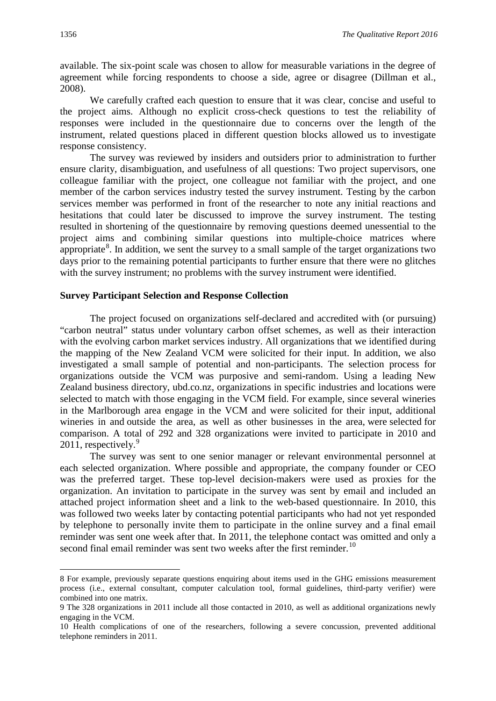available. The six-point scale was chosen to allow for measurable variations in the degree of agreement while forcing respondents to choose a side, agree or disagree (Dillman et al., 2008).

We carefully crafted each question to ensure that it was clear, concise and useful to the project aims. Although no explicit cross-check questions to test the reliability of responses were included in the questionnaire due to concerns over the length of the instrument, related questions placed in different question blocks allowed us to investigate response consistency.

The survey was reviewed by insiders and outsiders prior to administration to further ensure clarity, disambiguation, and usefulness of all questions: Two project supervisors, one colleague familiar with the project, one colleague not familiar with the project, and one member of the carbon services industry tested the survey instrument. Testing by the carbon services member was performed in front of the researcher to note any initial reactions and hesitations that could later be discussed to improve the survey instrument. The testing resulted in shortening of the questionnaire by removing questions deemed unessential to the project aims and combining similar questions into multiple-choice matrices where appropriate<sup>[8](#page-7-0)</sup>. In addition, we sent the survey to a small sample of the target organizations two days prior to the remaining potential participants to further ensure that there were no glitches with the survey instrument; no problems with the survey instrument were identified.

# **Survey Participant Selection and Response Collection**

The project focused on organizations self-declared and accredited with (or pursuing) "carbon neutral" status under voluntary carbon offset schemes, as well as their interaction with the evolving carbon market services industry. All organizations that we identified during the mapping of the New Zealand VCM were solicited for their input. In addition, we also investigated a small sample of potential and non-participants. The selection process for organizations outside the VCM was purposive and semi-random. Using a leading New Zealand business directory, ubd.co.nz, organizations in specific industries and locations were selected to match with those engaging in the VCM field. For example, since several wineries in the Marlborough area engage in the VCM and were solicited for their input, additional wineries in and outside the area, as well as other businesses in the area, were selected for comparison. A total of 292 and 328 organizations were invited to participate in 2010 and  $2011$ , respectively.<sup>[9](#page-7-1)</sup>

The survey was sent to one senior manager or relevant environmental personnel at each selected organization. Where possible and appropriate, the company founder or CEO was the preferred target. These top-level decision-makers were used as proxies for the organization. An invitation to participate in the survey was sent by email and included an attached project information sheet and a link to the web-based questionnaire. In 2010, this was followed two weeks later by contacting potential participants who had not yet responded by telephone to personally invite them to participate in the online survey and a final email reminder was sent one week after that. In 2011, the telephone contact was omitted and only a second final email reminder was sent two weeks after the first reminder.<sup>[10](#page-7-2)</sup>

**.** 

<span id="page-7-0"></span><sup>8</sup> For example, previously separate questions enquiring about items used in the GHG emissions measurement process (i.e., external consultant, computer calculation tool, formal guidelines, third-party verifier) were combined into one matrix.

<span id="page-7-1"></span><sup>9</sup> The 328 organizations in 2011 include all those contacted in 2010, as well as additional organizations newly engaging in the VCM.

<span id="page-7-2"></span><sup>10</sup> Health complications of one of the researchers, following a severe concussion, prevented additional telephone reminders in 2011.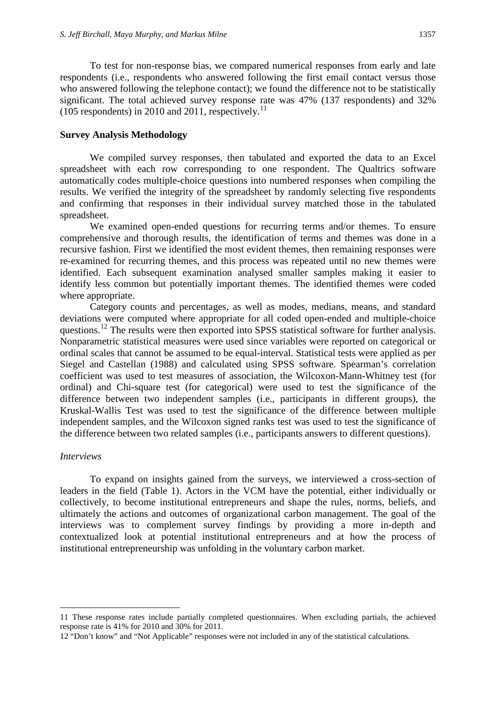To test for non-response bias, we compared numerical responses from early and late respondents (i.e., respondents who answered following the first email contact versus those who answered following the telephone contact); we found the difference not to be statistically significant. The total achieved survey response rate was 47% (137 respondents) and 32% (105 respondents) in 2010 and 20[11](#page-8-0), respectively.<sup>11</sup>

## **Survey Analysis Methodology**

We compiled survey responses, then tabulated and exported the data to an Excel spreadsheet with each row corresponding to one respondent. The Qualtrics software automatically codes multiple-choice questions into numbered responses when compiling the results. We verified the integrity of the spreadsheet by randomly selecting five respondents and confirming that responses in their individual survey matched those in the tabulated spreadsheet.

We examined open-ended questions for recurring terms and/or themes. To ensure comprehensive and thorough results, the identification of terms and themes was done in a recursive fashion. First we identified the most evident themes, then remaining responses were re-examined for recurring themes, and this process was repeated until no new themes were identified. Each subsequent examination analysed smaller samples making it easier to identify less common but potentially important themes. The identified themes were coded where appropriate.

Category counts and percentages, as well as modes, medians, means, and standard deviations were computed where appropriate for all coded open-ended and multiple-choice questions.<sup>[12](#page-8-1)</sup> The results were then exported into SPSS statistical software for further analysis. Nonparametric statistical measures were used since variables were reported on categorical or ordinal scales that cannot be assumed to be equal-interval. Statistical tests were applied as per Siegel and Castellan (1988) and calculated using SPSS software. Spearman's correlation coefficient was used to test measures of association, the Wilcoxon-Mann-Whitney test (for ordinal) and Chi-square test (for categorical) were used to test the significance of the difference between two independent samples (i.e., participants in different groups), the Kruskal-Wallis Test was used to test the significance of the difference between multiple independent samples, and the Wilcoxon signed ranks test was used to test the significance of the difference between two related samples (i.e., participants answers to different questions).

#### *Interviews*

**.** 

To expand on insights gained from the surveys, we interviewed a cross-section of leaders in the field (Table 1). Actors in the VCM have the potential, either individually or collectively, to become institutional entrepreneurs and shape the rules, norms, beliefs, and ultimately the actions and outcomes of organizational carbon management. The goal of the interviews was to complement survey findings by providing a more in-depth and contextualized look at potential institutional entrepreneurs and at how the process of institutional entrepreneurship was unfolding in the voluntary carbon market.

<span id="page-8-0"></span><sup>11</sup> These response rates include partially completed questionnaires. When excluding partials, the achieved response rate is 41% for 2010 and 30% for 2011.

<span id="page-8-1"></span><sup>12</sup> "Don't know" and "Not Applicable" responses were not included in any of the statistical calculations.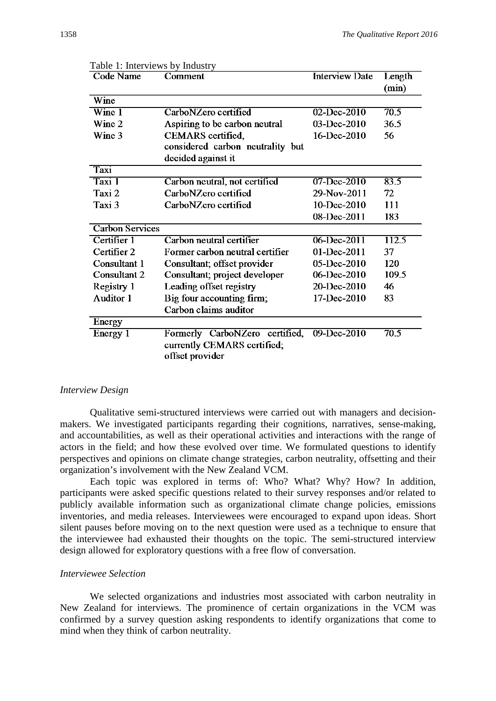| TAUIC 1. IIIICI VICWS DY IIIUUSU Y<br><b>Code Name</b> | Comment                          | <b>Interview Date</b> | Length |  |  |
|--------------------------------------------------------|----------------------------------|-----------------------|--------|--|--|
|                                                        |                                  |                       | (min)  |  |  |
| Wine                                                   |                                  |                       |        |  |  |
| $\overline{\text{Wine }1}$                             | CarboNZero certified             | 02-Dec-2010           |        |  |  |
| Wine 2                                                 | Aspiring to be carbon neutral    | $03$ -Dec-2010        | 36.5   |  |  |
| Wine 3                                                 | CEMARS certified,                | 16-Dec-2010           |        |  |  |
|                                                        | considered carbon neutrality but |                       |        |  |  |
|                                                        | decided against it               |                       |        |  |  |
| Taxi                                                   |                                  |                       |        |  |  |
| Taxi 1                                                 | Carbon neutral, not certified    | 07-Dec-2010           | 83.5   |  |  |
| Taxi 2                                                 | CarboNZero certified             | 29-Nov-2011           | 72     |  |  |
| Taxi 3                                                 | CarboNZero certified             | 10-Dec-2010           | 111    |  |  |
|                                                        |                                  | 08-Dec-2011           | 183    |  |  |
| <b>Carbon Services</b>                                 |                                  |                       |        |  |  |
| Certifier 1                                            | Carbon neutral certifier         | $06 - Dec - 2011$     | 112.5  |  |  |
| Certifier 2                                            | Former carbon neutral certifier  | 01-Dec-2011           | 37     |  |  |
| Consultant 1                                           | Consultant; offset provider      | 05-Dec-2010           | 120    |  |  |
| Consultant 2                                           | Consultant; project developer    | 06-Dec-2010           | 109.5  |  |  |
| Registry 1                                             | Leading offset registry          | 20-Dec-2010           | 46     |  |  |
| <b>Auditor 1</b>                                       | Big four accounting firm;        | 17-Dec-2010           | 83     |  |  |
|                                                        | Carbon claims auditor            |                       |        |  |  |
| Energy                                                 |                                  |                       |        |  |  |
| Energy 1                                               | Formerly CarboNZero certified,   | 09-Dec-2010           | 70.5   |  |  |
|                                                        | currently CEMARS certified;      |                       |        |  |  |
|                                                        | offset provider                  |                       |        |  |  |

|  | Table 1: Interviews by Industry |  |
|--|---------------------------------|--|
|  |                                 |  |

# *Interview Design*

Qualitative semi-structured interviews were carried out with managers and decisionmakers. We investigated participants regarding their cognitions, narratives, sense-making, and accountabilities, as well as their operational activities and interactions with the range of actors in the field; and how these evolved over time. We formulated questions to identify perspectives and opinions on climate change strategies, carbon neutrality, offsetting and their organization's involvement with the New Zealand VCM.

Each topic was explored in terms of: Who? What? Why? How? In addition, participants were asked specific questions related to their survey responses and/or related to publicly available information such as organizational climate change policies, emissions inventories, and media releases. Interviewees were encouraged to expand upon ideas. Short silent pauses before moving on to the next question were used as a technique to ensure that the interviewee had exhausted their thoughts on the topic. The semi-structured interview design allowed for exploratory questions with a free flow of conversation.

# *Interviewee Selection*

We selected organizations and industries most associated with carbon neutrality in New Zealand for interviews. The prominence of certain organizations in the VCM was confirmed by a survey question asking respondents to identify organizations that come to mind when they think of carbon neutrality.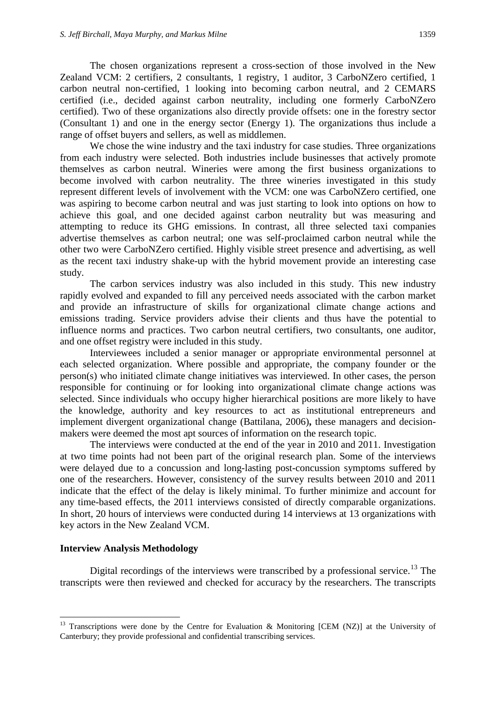The chosen organizations represent a cross-section of those involved in the New Zealand VCM: 2 certifiers, 2 consultants, 1 registry, 1 auditor, 3 CarboNZero certified, 1 carbon neutral non-certified, 1 looking into becoming carbon neutral, and 2 CEMARS certified (i.e., decided against carbon neutrality, including one formerly CarboNZero certified). Two of these organizations also directly provide offsets: one in the forestry sector (Consultant 1) and one in the energy sector (Energy 1). The organizations thus include a range of offset buyers and sellers, as well as middlemen.

We chose the wine industry and the taxi industry for case studies. Three organizations from each industry were selected. Both industries include businesses that actively promote themselves as carbon neutral. Wineries were among the first business organizations to become involved with carbon neutrality. The three wineries investigated in this study represent different levels of involvement with the VCM: one was CarboNZero certified, one was aspiring to become carbon neutral and was just starting to look into options on how to achieve this goal, and one decided against carbon neutrality but was measuring and attempting to reduce its GHG emissions. In contrast, all three selected taxi companies advertise themselves as carbon neutral; one was self-proclaimed carbon neutral while the other two were CarboNZero certified. Highly visible street presence and advertising, as well as the recent taxi industry shake-up with the hybrid movement provide an interesting case study.

The carbon services industry was also included in this study. This new industry rapidly evolved and expanded to fill any perceived needs associated with the carbon market and provide an infrastructure of skills for organizational climate change actions and emissions trading. Service providers advise their clients and thus have the potential to influence norms and practices. Two carbon neutral certifiers, two consultants, one auditor, and one offset registry were included in this study.

Interviewees included a senior manager or appropriate environmental personnel at each selected organization. Where possible and appropriate, the company founder or the person(s) who initiated climate change initiatives was interviewed. In other cases, the person responsible for continuing or for looking into organizational climate change actions was selected. Since individuals who occupy higher hierarchical positions are more likely to have the knowledge, authority and key resources to act as institutional entrepreneurs and implement divergent organizational change [\(Battilana, 2006\)](#page-14-5)**,** these managers and decisionmakers were deemed the most apt sources of information on the research topic.

The interviews were conducted at the end of the year in 2010 and 2011. Investigation at two time points had not been part of the original research plan. Some of the interviews were delayed due to a concussion and long-lasting post-concussion symptoms suffered by one of the researchers. However, consistency of the survey results between 2010 and 2011 indicate that the effect of the delay is likely minimal. To further minimize and account for any time-based effects, the 2011 interviews consisted of directly comparable organizations. In short, 20 hours of interviews were conducted during 14 interviews at 13 organizations with key actors in the New Zealand VCM.

#### **Interview Analysis Methodology**

Digital recordings of the interviews were transcribed by a professional service.<sup>[13](#page-10-0)</sup> The transcripts were then reviewed and checked for accuracy by the researchers. The transcripts

<span id="page-10-0"></span><sup>&</sup>lt;sup>13</sup> Transcriptions were done by the Centre for Evaluation & Monitoring [CEM (NZ)] at the University of Canterbury; they provide professional and confidential transcribing services.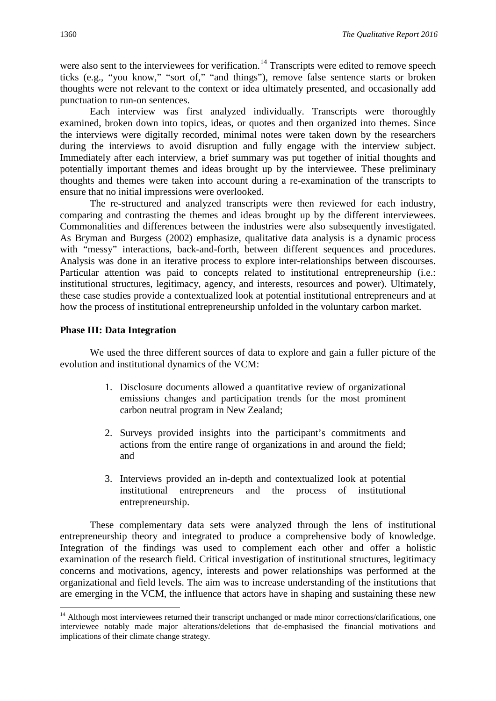were also sent to the interviewees for verification.<sup>[14](#page-11-0)</sup> Transcripts were edited to remove speech ticks (e.g., "you know," "sort of," "and things"), remove false sentence starts or broken thoughts were not relevant to the context or idea ultimately presented, and occasionally add punctuation to run-on sentences.

Each interview was first analyzed individually. Transcripts were thoroughly examined, broken down into topics, ideas, or quotes and then organized into themes. Since the interviews were digitally recorded, minimal notes were taken down by the researchers during the interviews to avoid disruption and fully engage with the interview subject. Immediately after each interview, a brief summary was put together of initial thoughts and potentially important themes and ideas brought up by the interviewee. These preliminary thoughts and themes were taken into account during a re-examination of the transcripts to ensure that no initial impressions were overlooked.

The re-structured and analyzed transcripts were then reviewed for each industry, comparing and contrasting the themes and ideas brought up by the different interviewees. Commonalities and differences between the industries were also subsequently investigated. As Bryman and Burgess (2002) emphasize, qualitative data analysis is a dynamic process with "messy" interactions, back-and-forth, between different sequences and procedures. Analysis was done in an iterative process to explore inter-relationships between discourses. Particular attention was paid to concepts related to institutional entrepreneurship (i.e.: institutional structures, legitimacy, agency, and interests, resources and power). Ultimately, these case studies provide a contextualized look at potential institutional entrepreneurs and at how the process of institutional entrepreneurship unfolded in the voluntary carbon market.

# **Phase III: Data Integration**

We used the three different sources of data to explore and gain a fuller picture of the evolution and institutional dynamics of the VCM:

- 1. Disclosure documents allowed a quantitative review of organizational emissions changes and participation trends for the most prominent carbon neutral program in New Zealand;
- 2. Surveys provided insights into the participant's commitments and actions from the entire range of organizations in and around the field; and
- 3. Interviews provided an in-depth and contextualized look at potential institutional entrepreneurs and the process of institutional entrepreneurship.

These complementary data sets were analyzed through the lens of institutional entrepreneurship theory and integrated to produce a comprehensive body of knowledge. Integration of the findings was used to complement each other and offer a holistic examination of the research field. Critical investigation of institutional structures, legitimacy concerns and motivations, agency, interests and power relationships was performed at the organizational and field levels. The aim was to increase understanding of the institutions that are emerging in the VCM, the influence that actors have in shaping and sustaining these new

<span id="page-11-0"></span><sup>&</sup>lt;sup>14</sup> Although most interviewees returned their transcript unchanged or made minor corrections/clarifications, one interviewee notably made major alterations/deletions that de-emphasised the financial motivations and implications of their climate change strategy.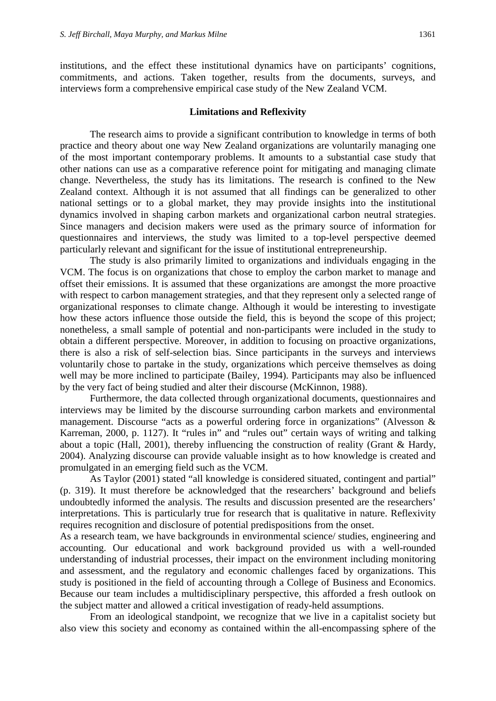institutions, and the effect these institutional dynamics have on participants' cognitions, commitments, and actions. Taken together, results from the documents, surveys, and interviews form a comprehensive empirical case study of the New Zealand VCM.

#### **Limitations and Reflexivity**

The research aims to provide a significant contribution to knowledge in terms of both practice and theory about one way New Zealand organizations are voluntarily managing one of the most important contemporary problems. It amounts to a substantial case study that other nations can use as a comparative reference point for mitigating and managing climate change. Nevertheless, the study has its limitations. The research is confined to the New Zealand context. Although it is not assumed that all findings can be generalized to other national settings or to a global market, they may provide insights into the institutional dynamics involved in shaping carbon markets and organizational carbon neutral strategies. Since managers and decision makers were used as the primary source of information for questionnaires and interviews, the study was limited to a top-level perspective deemed particularly relevant and significant for the issue of institutional entrepreneurship.

The study is also primarily limited to organizations and individuals engaging in the VCM. The focus is on organizations that chose to employ the carbon market to manage and offset their emissions. It is assumed that these organizations are amongst the more proactive with respect to carbon management strategies, and that they represent only a selected range of organizational responses to climate change. Although it would be interesting to investigate how these actors influence those outside the field, this is beyond the scope of this project; nonetheless, a small sample of potential and non-participants were included in the study to obtain a different perspective. Moreover, in addition to focusing on proactive organizations, there is also a risk of self-selection bias. Since participants in the surveys and interviews voluntarily chose to partake in the study, organizations which perceive themselves as doing well may be more inclined to participate [\(Bailey, 1994\)](#page-14-6). Participants may also be influenced by the very fact of being studied and alter their discourse [\(McKinnon, 1988\)](#page-15-5).

Furthermore, the data collected through organizational documents, questionnaires and interviews may be limited by the discourse surrounding carbon markets and environmental management. Discourse "acts as a powerful ordering force in organizations" [\(Alvesson &](#page-14-1)  [Karreman, 2000, p. 1127\)](#page-14-1). It "rules in" and "rules out" certain ways of writing and talking about a topic [\(Hall, 2001\)](#page-14-7), thereby influencing the construction of reality [\(Grant & Hardy,](#page-14-8)  [2004\)](#page-14-8). Analyzing discourse can provide valuable insight as to how knowledge is created and promulgated in an emerging field such as the VCM.

As Taylor (2001) stated "all knowledge is considered situated, contingent and partial" (p. 319). It must therefore be acknowledged that the researchers' background and beliefs undoubtedly informed the analysis. The results and discussion presented are the researchers' interpretations. This is particularly true for research that is qualitative in nature. Reflexivity requires recognition and disclosure of potential predispositions from the onset.

As a research team, we have backgrounds in environmental science/ studies, engineering and accounting. Our educational and work background provided us with a well-rounded understanding of industrial processes, their impact on the environment including monitoring and assessment, and the regulatory and economic challenges faced by organizations. This study is positioned in the field of accounting through a College of Business and Economics. Because our team includes a multidisciplinary perspective, this afforded a fresh outlook on the subject matter and allowed a critical investigation of ready-held assumptions.

From an ideological standpoint, we recognize that we live in a capitalist society but also view this society and economy as contained within the all-encompassing sphere of the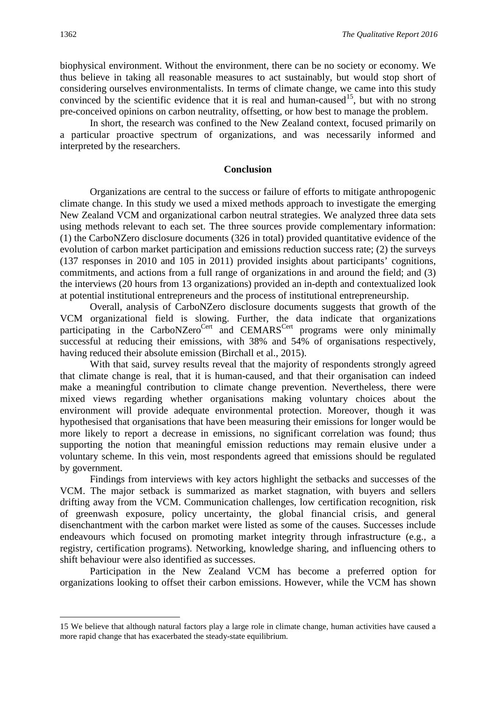biophysical environment. Without the environment, there can be no society or economy. We thus believe in taking all reasonable measures to act sustainably, but would stop short of considering ourselves environmentalists. In terms of climate change, we came into this study convinced by the scientific evidence that it is real and human-caused<sup>[15](#page-13-0)</sup>, but with no strong pre-conceived opinions on carbon neutrality, offsetting, or how best to manage the problem.

In short, the research was confined to the New Zealand context, focused primarily on a particular proactive spectrum of organizations, and was necessarily informed and interpreted by the researchers.

# **Conclusion**

Organizations are central to the success or failure of efforts to mitigate anthropogenic climate change. In this study we used a mixed methods approach to investigate the emerging New Zealand VCM and organizational carbon neutral strategies. We analyzed three data sets using methods relevant to each set. The three sources provide complementary information: (1) the CarboNZero disclosure documents (326 in total) provided quantitative evidence of the evolution of carbon market participation and emissions reduction success rate; (2) the surveys (137 responses in 2010 and 105 in 2011) provided insights about participants' cognitions, commitments, and actions from a full range of organizations in and around the field; and (3) the interviews (20 hours from 13 organizations) provided an in-depth and contextualized look at potential institutional entrepreneurs and the process of institutional entrepreneurship.

Overall, analysis of CarboNZero disclosure documents suggests that growth of the VCM organizational field is slowing. Further, the data indicate that organizations participating in the CarboNZero<sup>Cert</sup> and CEMARS<sup>Cert</sup> programs were only minimally successful at reducing their emissions, with 38% and 54% of organisations respectively, having reduced their absolute emission (Birchall et al., 2015).

With that said, survey results reveal that the majority of respondents strongly agreed that climate change is real, that it is human-caused, and that their organisation can indeed make a meaningful contribution to climate change prevention. Nevertheless, there were mixed views regarding whether organisations making voluntary choices about the environment will provide adequate environmental protection. Moreover, though it was hypothesised that organisations that have been measuring their emissions for longer would be more likely to report a decrease in emissions, no significant correlation was found; thus supporting the notion that meaningful emission reductions may remain elusive under a voluntary scheme. In this vein, most respondents agreed that emissions should be regulated by government.

Findings from interviews with key actors highlight the setbacks and successes of the VCM. The major setback is summarized as market stagnation, with buyers and sellers drifting away from the VCM. Communication challenges, low certification recognition, risk of greenwash exposure, policy uncertainty, the global financial crisis, and general disenchantment with the carbon market were listed as some of the causes. Successes include endeavours which focused on promoting market integrity through infrastructure (e.g., a registry, certification programs). Networking, knowledge sharing, and influencing others to shift behaviour were also identified as successes.

Participation in the New Zealand VCM has become a preferred option for organizations looking to offset their carbon emissions. However, while the VCM has shown

<span id="page-13-0"></span>15 We believe that although natural factors play a large role in climate change, human activities have caused a more rapid change that has exacerbated the steady-state equilibrium.

 $\overline{a}$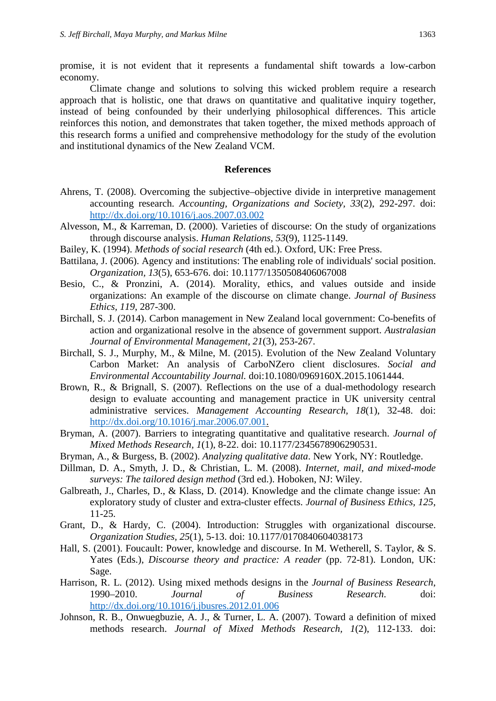promise, it is not evident that it represents a fundamental shift towards a low-carbon economy.

Climate change and solutions to solving this wicked problem require a research approach that is holistic, one that draws on quantitative and qualitative inquiry together, instead of being confounded by their underlying philosophical differences. This article reinforces this notion, and demonstrates that taken together, the mixed methods approach of this research forms a unified and comprehensive methodology for the study of the evolution and institutional dynamics of the New Zealand VCM.

# <span id="page-14-4"></span>**References**

- <span id="page-14-1"></span>Ahrens, T. (2008). Overcoming the subjective–objective divide in interpretive management accounting research. *Accounting, Organizations and Society, 33*(2), 292-297. doi: <http://dx.doi.org/10.1016/j.aos.2007.03.002>
- Alvesson, M., & Karreman, D. (2000). Varieties of discourse: On the study of organizations through discourse analysis. *Human Relations, 53*(9), 1125-1149.
- <span id="page-14-6"></span>Bailey, K. (1994). *Methods of social research* (4th ed.). Oxford, UK: Free Press.
- <span id="page-14-5"></span>Battilana, J. (2006). Agency and institutions: The enabling role of individuals' social position. *Organization, 13*(5), 653-676. doi: 10.1177/1350508406067008
- Besio, C., & Pronzini, A. (2014). Morality, ethics, and values outside and inside organizations: An example of the discourse on climate change. *Journal of Business Ethics, 119*, 287-300.
- Birchall, S. J. (2014). Carbon management in New Zealand local government: Co-benefits of action and organizational resolve in the absence of government support. *Australasian Journal of Environmental Management, 21*(3), 253-267.
- Birchall, S. J., Murphy, M., & Milne, M. (2015). Evolution of the New Zealand Voluntary Carbon Market: An analysis of CarboNZero client disclosures. *Social and Environmental Accountability Journal.* doi:10.1080/0969160X.2015.1061444.
- <span id="page-14-0"></span>Brown, R., & Brignall, S. (2007). Reflections on the use of a dual-methodology research design to evaluate accounting and management practice in UK university central administrative services. *Management Accounting Research, 18*(1), 32-48. doi: [http://dx.doi.org/10.1016/j.mar.2006.07.001.](http://dx.doi.org/10.1016/j.mar.2006.07.001)
- Bryman, A. (2007). Barriers to integrating quantitative and qualitative research. *Journal of Mixed Methods Research, 1*(1), 8-22. doi: 10.1177/2345678906290531.
- Bryman, A., & Burgess, B. (2002). *Analyzing qualitative data*. New York, NY: Routledge.
- Dillman, D. A., Smyth, J. D., & Christian, L. M. (2008). *Internet, mail, and mixed-mode surveys: The tailored design method* (3rd ed.). Hoboken, NJ: Wiley.
- Galbreath, J., Charles, D., & Klass, D. (2014). Knowledge and the climate change issue: An exploratory study of cluster and extra-cluster effects. *Journal of Business Ethics, 125*, 11-25.
- <span id="page-14-8"></span>Grant, D., & Hardy, C. (2004). Introduction: Struggles with organizational discourse. *Organization Studies, 25*(1), 5-13. doi: 10.1177/0170840604038173
- <span id="page-14-7"></span>Hall, S. (2001). Foucault: Power, knowledge and discourse. In M. Wetherell, S. Taylor, & S. Yates (Eds.), *Discourse theory and practice: A reader* (pp. 72-81). London, UK: Sage.
- <span id="page-14-3"></span>Harrison, R. L. (2012). Using mixed methods designs in the *Journal of Business Research*, 1990–2010. *Journal of Business Research*. doi: <http://dx.doi.org/10.1016/j.jbusres.2012.01.006>
- <span id="page-14-2"></span>Johnson, R. B., Onwuegbuzie, A. J., & Turner, L. A. (2007). Toward a definition of mixed methods research. *Journal of Mixed Methods Research, 1*(2), 112-133. doi: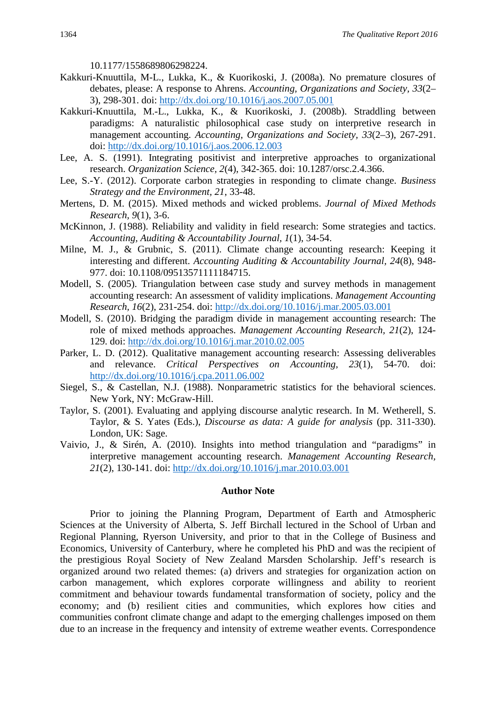10.1177/1558689806298224.

- <span id="page-15-4"></span>Kakkuri-Knuuttila, M-L., Lukka, K., & Kuorikoski, J. (2008a). No premature closures of debates, please: A response to Ahrens. *Accounting, Organizations and Society, 33*(2– 3), 298-301. doi:<http://dx.doi.org/10.1016/j.aos.2007.05.001>
- <span id="page-15-0"></span>Kakkuri-Knuuttila, M.-L., Lukka, K., & Kuorikoski, J. (2008b). Straddling between paradigms: A naturalistic philosophical case study on interpretive research in management accounting. *Accounting, Organizations and Society, 33*(2–3), 267-291. doi:<http://dx.doi.org/10.1016/j.aos.2006.12.003>
- <span id="page-15-1"></span>Lee, A. S. (1991). Integrating positivist and interpretive approaches to organizational research. *Organization Science, 2*(4), 342-365. doi: 10.1287/orsc.2.4.366.
- Lee, S.-Y. (2012). Corporate carbon strategies in responding to climate change. *Business Strategy and the Environment, 21*, 33-48.
- Mertens, D. M. (2015). Mixed methods and wicked problems. *Journal of Mixed Methods Research, 9*(1), 3-6.
- <span id="page-15-5"></span>McKinnon, J. (1988). Reliability and validity in field research: Some strategies and tactics. *Accounting, Auditing & Accountability Journal, 1*(1), 34-54.
- <span id="page-15-3"></span>Milne, M. J., & Grubnic, S. (2011). Climate change accounting research: Keeping it interesting and different. *Accounting Auditing & Accountability Journal, 24*(8), 948- 977. doi: 10.1108/09513571111184715.
- Modell, S. (2005). Triangulation between case study and survey methods in management accounting research: An assessment of validity implications. *Management Accounting Research, 16*(2), 231-254. doi:<http://dx.doi.org/10.1016/j.mar.2005.03.001>
- <span id="page-15-2"></span>Modell, S. (2010). Bridging the paradigm divide in management accounting research: The role of mixed methods approaches. *Management Accounting Research, 21*(2), 124- 129. doi:<http://dx.doi.org/10.1016/j.mar.2010.02.005>
- Parker, L. D. (2012). Qualitative management accounting research: Assessing deliverables and relevance. *Critical Perspectives on Accounting, 23*(1), 54-70. doi: <http://dx.doi.org/10.1016/j.cpa.2011.06.002>
- Siegel, S., & Castellan, N.J. (1988). Nonparametric statistics for the behavioral sciences. New York, NY: McGraw-Hill.
- Taylor, S. (2001). Evaluating and applying discourse analytic research. In M. Wetherell, S. Taylor, & S. Yates (Eds.), *Discourse as data: A guide for analysis* (pp. 311-330). London, UK: Sage.
- Vaivio, J., & Sirén, A. (2010). Insights into method triangulation and "paradigms" in interpretive management accounting research. *Management Accounting Research, 21*(2), 130-141. doi: <http://dx.doi.org/10.1016/j.mar.2010.03.001>

#### **Author Note**

Prior to joining the Planning Program, Department of Earth and Atmospheric Sciences at the University of Alberta, S. Jeff Birchall lectured in the School of Urban and Regional Planning, Ryerson University, and prior to that in the College of Business and Economics, University of Canterbury, where he completed his PhD and was the recipient of the prestigious Royal Society of New Zealand Marsden Scholarship. Jeff's research is organized around two related themes: (a) drivers and strategies for organization action on carbon management, which explores corporate willingness and ability to reorient commitment and behaviour towards fundamental transformation of society, policy and the economy; and (b) resilient cities and communities, which explores how cities and communities confront climate change and adapt to the emerging challenges imposed on them due to an increase in the frequency and intensity of extreme weather events. Correspondence